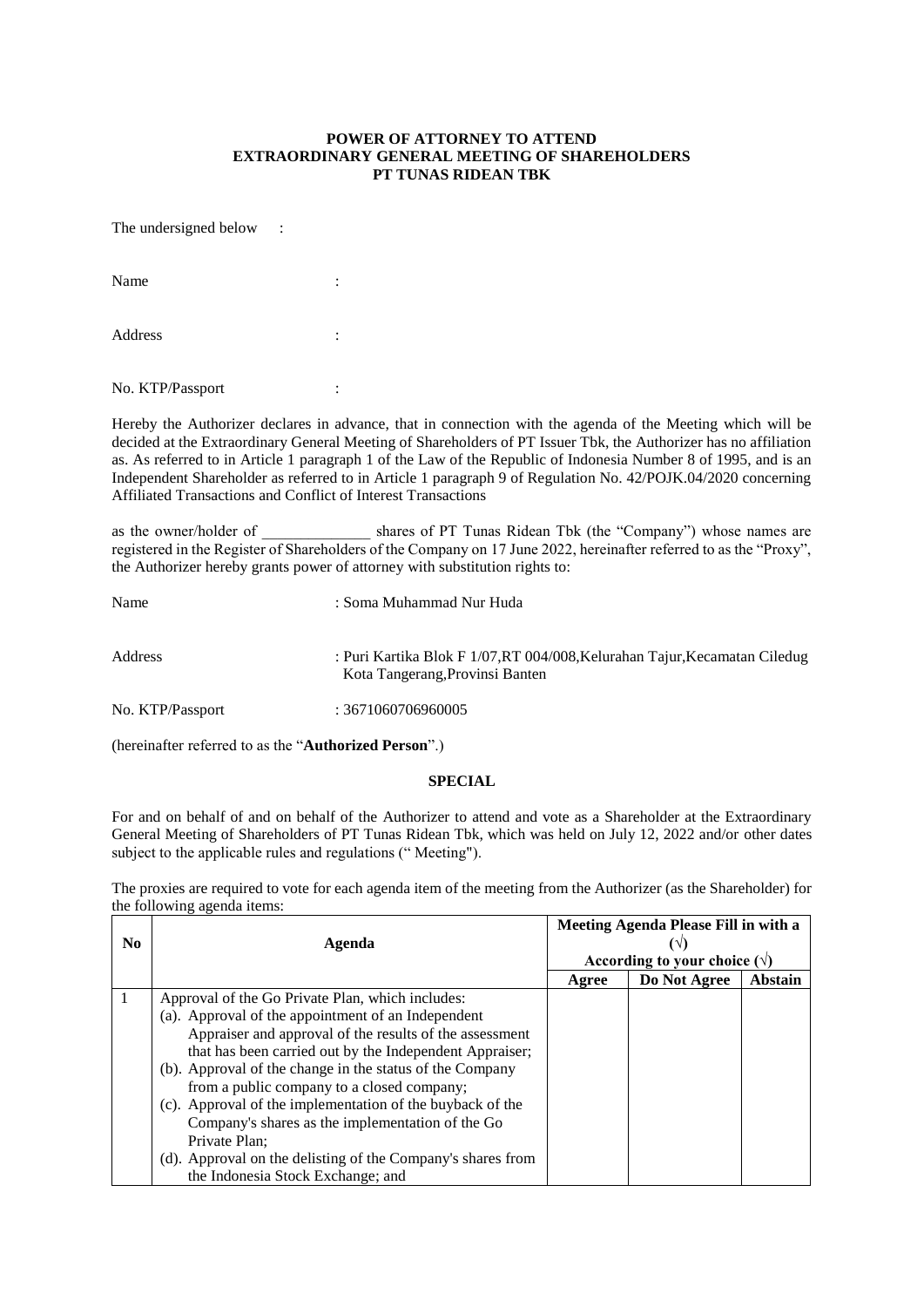## **POWER OF ATTORNEY TO ATTEND EXTRAORDINARY GENERAL MEETING OF SHAREHOLDERS PT TUNAS RIDEAN TBK**

The undersigned below :

| Name             | ٠<br>٠ |
|------------------|--------|
| Address          | ٠<br>٠ |
| No. KTP/Passport |        |

Hereby the Authorizer declares in advance, that in connection with the agenda of the Meeting which will be decided at the Extraordinary General Meeting of Shareholders of PT Issuer Tbk, the Authorizer has no affiliation as. As referred to in Article 1 paragraph 1 of the Law of the Republic of Indonesia Number 8 of 1995, and is an Independent Shareholder as referred to in Article 1 paragraph 9 of Regulation No. 42/POJK.04/2020 concerning Affiliated Transactions and Conflict of Interest Transactions

as the owner/holder of \_\_\_\_\_\_\_\_\_\_\_\_\_\_ shares of PT Tunas Ridean Tbk (the "Company") whose names are registered in the Register of Shareholders of the Company on 17 June 2022, hereinafter referred to as the "Proxy", the Authorizer hereby grants power of attorney with substitution rights to:

| Name             | : Soma Muhammad Nur Huda                                                                                      |
|------------------|---------------------------------------------------------------------------------------------------------------|
| Address          | : Puri Kartika Blok F 1/07, RT 004/008, Kelurahan Tajur, Kecamatan Ciledug<br>Kota Tangerang, Provinsi Banten |
| No. KTP/Passport | : 3671060706960005                                                                                            |

(hereinafter referred to as the "**Authorized Person**".)

## **SPECIAL**

For and on behalf of and on behalf of the Authorizer to attend and vote as a Shareholder at the Extraordinary General Meeting of Shareholders of PT Tunas Ridean Tbk, which was held on July 12, 2022 and/or other dates subject to the applicable rules and regulations (" Meeting").

The proxies are required to vote for each agenda item of the meeting from the Authorizer (as the Shareholder) for the following agenda items:

| No. | Agenda                                                      | Meeting Agenda Please Fill in with a |              |         |
|-----|-------------------------------------------------------------|--------------------------------------|--------------|---------|
|     |                                                             | According to your choice $(\forall)$ |              |         |
|     |                                                             | Agree                                | Do Not Agree | Abstain |
|     | Approval of the Go Private Plan, which includes:            |                                      |              |         |
|     | (a). Approval of the appointment of an Independent          |                                      |              |         |
|     | Appraiser and approval of the results of the assessment     |                                      |              |         |
|     | that has been carried out by the Independent Appraiser;     |                                      |              |         |
|     | (b). Approval of the change in the status of the Company    |                                      |              |         |
|     | from a public company to a closed company;                  |                                      |              |         |
|     | (c). Approval of the implementation of the buyback of the   |                                      |              |         |
|     | Company's shares as the implementation of the Go            |                                      |              |         |
|     | Private Plan;                                               |                                      |              |         |
|     | (d). Approval on the delisting of the Company's shares from |                                      |              |         |
|     | the Indonesia Stock Exchange; and                           |                                      |              |         |